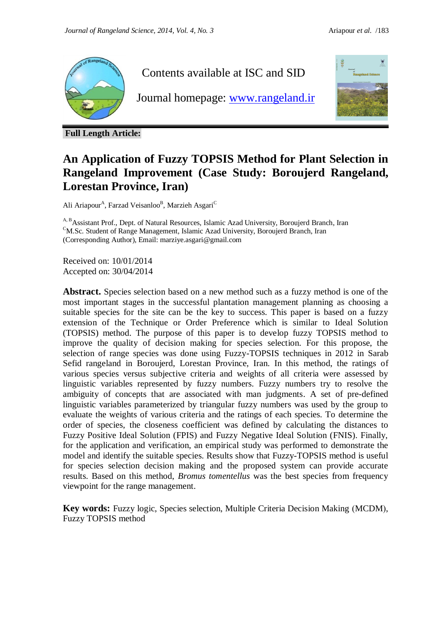

Contents available at ISC and SID

Journal homepage: [www.rangeland.ir](http://www.rangeland.ir/)



**Full Length Article:**

# **An Application of Fuzzy TOPSIS Method for Plant Selection in Rangeland Improvement (Case Study: Boroujerd Rangeland, Lorestan Province, Iran)**

Ali Ariapour<sup>A</sup>, Farzad Veisanloo<sup>B</sup>, Marzieh Asgari<sup>C</sup>

<sup>A, B</sup>Assistant Prof., Dept. of Natural Resources, Islamic Azad University, Boroujerd Branch, Iran <sup>C</sup>M.Sc. Student of Range Management, Islamic Azad University, Boroujerd Branch, Iran (Corresponding Author), Email: marziye.asgari@gmail.com

Received on: 10/01/2014 Accepted on: 30/04/2014

**Abstract.** Species selection based on a new method such as a fuzzy method is one of the most important stages in the successful plantation management planning as choosing a suitable species for the site can be the key to success. This paper is based on a fuzzy extension of the Technique or Order Preference which is similar to Ideal Solution (TOPSIS) method. The purpose of this paper is to develop fuzzy TOPSIS method to improve the quality of decision making for species selection. For this propose, the selection of range species was done using Fuzzy-TOPSIS techniques in 2012 in Sarab Sefid rangeland in Boroujerd, Lorestan Province, Iran. In this method, the ratings of various species versus subjective criteria and weights of all criteria were assessed by linguistic variables represented by fuzzy numbers. Fuzzy numbers try to resolve the ambiguity of concepts that are associated with man judgments. A set of pre-defined linguistic variables parameterized by triangular fuzzy numbers was used by the group to evaluate the weights of various criteria and the ratings of each species. To determine the order of species, the closeness coefficient was defined by calculating the distances to Fuzzy Positive Ideal Solution (FPIS) and Fuzzy Negative Ideal Solution (FNIS). Finally, for the application and verification, an empirical study was performed to demonstrate the model and identify the suitable species. Results show that Fuzzy-TOPSIS method is useful for species selection decision making and the proposed system can provide accurate results. Based on this method, *Bromus tomentellus* was the best species from frequency viewpoint for the range management.

**Key words:** Fuzzy logic, Species selection, Multiple Criteria Decision Making (MCDM), Fuzzy TOPSIS method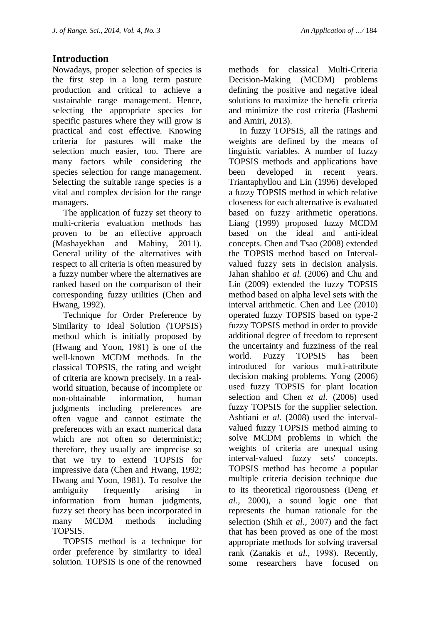## **Introduction**

Nowadays, proper selection of species is the first step in a long term pasture production and critical to achieve a sustainable range management. Hence, selecting the appropriate species for specific pastures where they will grow is practical and cost effective. Knowing criteria for pastures will make the selection much easier, too. There are many factors while considering the species selection for range management. Selecting the suitable range species is a vital and complex decision for the range managers.

 The application of fuzzy set theory to multi-criteria evaluation methods has proven to be an effective approach (Mashayekhan and Mahiny, 2011). General utility of the alternatives with respect to all criteria is often measured by a fuzzy number where the alternatives are ranked based on the comparison of their corresponding fuzzy utilities (Chen and Hwang, 1992).

 Technique for Order Preference by Similarity to Ideal Solution (TOPSIS) method which is initially proposed by (Hwang and Yoon,  $1981$ ) is one of the well-known MCDM methods. In the classical TOPSIS, the rating and weight of criteria are known precisely. In a realworld situation, because of incomplete or non-obtainable information, human judgments including preferences are often vague and cannot estimate the preferences with an exact numerical data which are not often so deterministic; therefore, they usually are imprecise so that we try to extend TOPSIS for impressive data (Chen and Hwang, 1992; Hwang and Yoon, 1981). To resolve the ambiguity frequently arising in information from human judgments, fuzzy set theory has been incorporated in many MCDM methods including TOPSIS.

 TOPSIS method is a technique for order preference by similarity to ideal solution. TOPSIS is one of the renowned

methods for classical Multi-Criteria Decision-Making (MCDM) problems defining the positive and negative ideal solutions to maximize the benefit criteria and minimize the cost criteria (Hashemi and Amiri, 2013).

 In fuzzy TOPSIS, all the ratings and weights are defined by the means of linguistic variables. A number of fuzzy TOPSIS methods and applications have been developed in recent years. Triantaphyllou and Lin (1996) developed a fuzzy TOPSIS method in which relative closeness for each alternative is evaluated based on fuzzy arithmetic operations. Liang (1999) proposed fuzzy MCDM based on the ideal and anti-ideal concepts. Chen and Tsao (2008) extended the TOPSIS method based on Intervalvalued fuzzy sets in decision analysis. Jahan shahloo *et al.* (2006) and Chu and Lin (2009) extended the fuzzy TOPSIS method based on alpha level sets with the interval arithmetic. Chen and Lee (2010) operated fuzzy TOPSIS based on type-2 fuzzy TOPSIS method in order to provide additional degree of freedom to represent the uncertainty and fuzziness of the real world. Fuzzy TOPSIS has been introduced for various multi-attribute decision making problems. Yong (2006) used fuzzy TOPSIS for plant location selection and Chen *et al.* (2006) used fuzzy TOPSIS for the supplier selection. Ashtiani *et al.* (2008) used the intervalvalued fuzzy TOPSIS method aiming to solve MCDM problems in which the weights of criteria are unequal using interval-valued fuzzy sets' concepts. TOPSIS method has become a popular multiple criteria decision technique due to its theoretical rigorousness Deng *et al.*, 2000), a sound logic one that represents the human rationale for the selection (Shih *et al.*, 2007) and the fact that has been proved as one of the most appropriate methods for solving traversal rank (Zanakis *et al.*, 1998). Recently, some researchers have focused on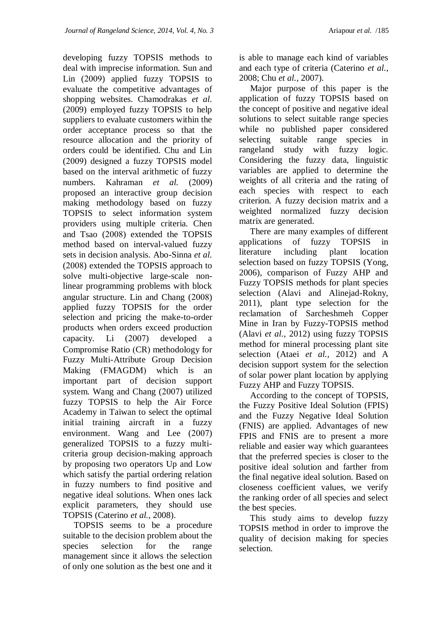developing fuzzy TOPSIS methods to deal with imprecise information. Sun and Lin  $(2009)$  applied fuzzy TOPSIS to evaluate the competitive advantages of shopping websites. Chamodrakas *et al.* (2009) employed fuzzy TOPSIS to help suppliers to evaluate customers within the order acceptance process so that the resource allocation and the priority of orders could be identified. Chu and Lin (2009) designed a fuzzy TOPSIS model based on the interval arithmetic of fuzzy numbers. Kahraman *et al.* (2009) proposed an interactive group decision making methodology based on fuzzy TOPSIS to select information system providers using multiple criteria. Chen and Tsao (2008) extended the TOPSIS method based on interval-valued fuzzy sets in decision analysis. Abo-Sinna *et al.* (2008) extended the TOPSIS approach to solve multi-objective large-scale nonlinear programming problems with block angular structure. Lin and Chang (2008) applied fuzzy TOPSIS for the order selection and pricing the make-to-order products when orders exceed production capacity. Li  $(2007)$  developed a Compromise Ratio (CR) methodology for Fuzzy Multi-Attribute Group Decision Making (FMAGDM) which is an important part of decision support system. Wang and Chang (2007) utilized fuzzy TOPSIS to help the Air Force Academy in Taiwan to select the optimal initial training aircraft in a fuzzy environment. Wang and Lee  $(2007)$ generalized TOPSIS to a fuzzy multicriteria group decision-making approach by proposing two operators Up and Low which satisfy the partial ordering relation in fuzzy numbers to find positive and negative ideal solutions. When ones lack explicit parameters, they should use TOPSIS (Caterino *et al.,* 2008).

 TOPSIS seems to be a procedure suitable to the decision problem about the species selection for the range management since it allows the selection of only one solution as the best one and it

is able to manage each kind of variables and each type of criteria (Caterino *et al.,* 2008; Chu *et al.,* 2007).

 Major purpose of this paper is the application of fuzzy TOPSIS based on the concept of positive and negative ideal solutions to select suitable range species while no published paper considered selecting suitable range species in rangeland study with fuzzy logic. Considering the fuzzy data, linguistic variables are applied to determine the weights of all criteria and the rating of each species with respect to each criterion. A fuzzy decision matrix and a weighted normalized fuzzy decision matrix are generated.

 There are many examples of different applications of fuzzy TOPSIS in literature including plant location selection based on fuzzy TOPSIS (Yong, 2006), comparison of Fuzzy AHP and Fuzzy TOPSIS methods for plant species selection (Alavi and Alinejad-Rokny, 2011), plant type selection for the reclamation of Sarcheshmeh Copper Mine in Iran by Fuzzy-TOPSIS method (Alavi *et al.,* 2012) using fuzzy TOPSIS method for mineral processing plant site selection (Ataei *et al.,* 2012) and A decision support system for the selection of solar power plant location by applying Fuzzy AHP and Fuzzy TOPSIS.

 According to the concept of TOPSIS, the Fuzzy Positive Ideal Solution (FPIS) and the Fuzzy Negative Ideal Solution (FNIS) are applied. Advantages of new FPIS and FNIS are to present a more reliable and easier way which guarantees that the preferred species is closer to the positive ideal solution and farther from the final negative ideal solution. Based on closeness coefficient values, we verify the ranking order of all species and select the best species.

 This study aims to develop fuzzy TOPSIS method in order to improve the quality of decision making for species selection.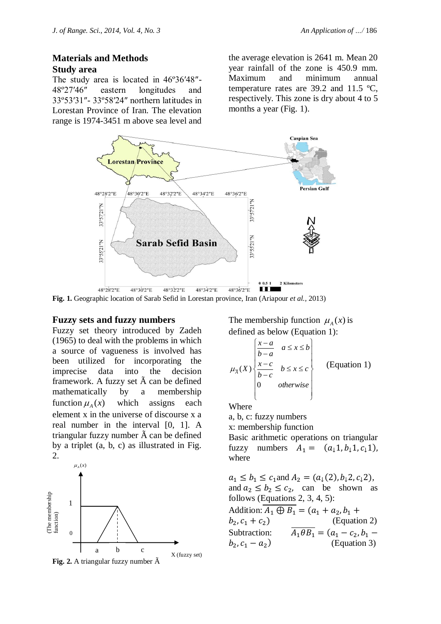#### **Materials and Methods Study area**

The study area is located in 46º36′48″- 48º27′46″ eastern longitudes and 33º53′31″- 33º58′24″ northern latitudes in Lorestan Province of Iran. The elevation range is 1974-3451 m above sea level and the average elevation is 2641 m. Mean 20 year rainfall of the zone is 450.9 mm. Maximum and minimum annual temperature rates are 39.2 and 11.5 ºC, respectively. This zone is dry about 4 to 5 months a year (Fig. 1).



**Fig. 1.** Geographic location of Sarab Sefid in Lorestan province, Iran (Ariapour *et al.,* 2013)

#### **Fuzzy sets and fuzzy numbers**

Fuzzy set theory introduced by Zadeh (1965) to deal with the problems in which a source of vagueness is involved has been utilized for incorporating the imprecise data into the decision framework. A fuzzy set  $\tilde{A}$  can be defined mathematically by a membership function  $\mu_A(x)$ which assigns each element x in the universe of discourse x a real number in the interval [0, 1]. A triangular fuzzy number  $\tilde{A}$  can be defined by a triplet (a, b, c) as illustrated in Fig. 2.



The membership function  $\mu_A(x)$  is defined as below (Equation 1):

$$
\mu_{\overline{A}}(X) \begin{cases} \frac{x-a}{b-a} & a \leq x \leq b \\ \frac{x-c}{b-c} & b \leq x \leq c \\ 0 & otherwise \end{cases}
$$
 (Equation 1)

Where

a, b, c: fuzzy numbers

x: membership function

Basic arithmetic operations on triangular fuzzy numbers  $A_1 = (a_1 1, b_1 1, c_1 1)$ , where

 $a_1 \leq b_1 \leq c_1$  and  $A_2 = (a_1(2), b_1 2, c_1 2)$ , and  $a_2 \leq b_2 \leq c_2$ , can be shown as follows (Equations 2, 3, 4, 5): Addition:  $\overline{A_1 \oplus B_1} = (a_1 + a_2, b_1 + a_2)$  $b_2, c_1 + c_2$  (Equation 2) Subtraction:  $\overline{A_1 \theta B_1} = (a$  $b_2, c_1 - a_2$ )(Equation 3)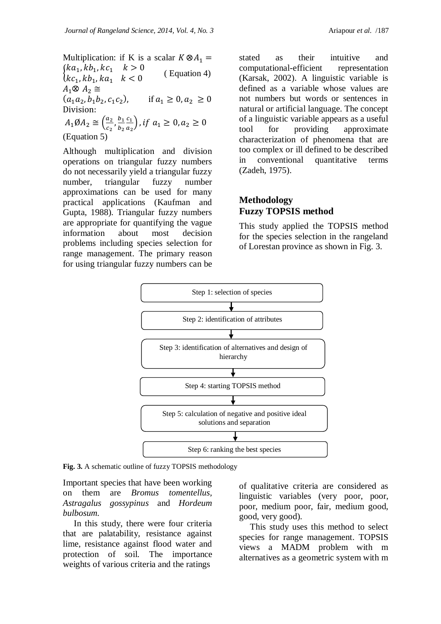Multiplication: if K is a scalar  $K \otimes A_1 =$  $(ka_1, kb_1, kc_1 \quad k > 0$  $\binom{n}{k}$ ( Equation 4)  $A_1 \otimes A_2 \cong$  $(a_1a_2, b_1b_2, c_1c_2)$ , if  $a_1 \ge 0, a_2 \ge 0$ Division:  $A_1 \emptyset A_2 \cong \left(\frac{a}{b}\right)$  $\frac{a_2}{c_2}$ ,  $\frac{b}{b}$  $\overline{c}$  $\frac{c_1}{a_2}\big),$ b

(Equation 5)

Although multiplication and division operations on triangular fuzzy numbers do not necessarily yield a triangular fuzzy number, triangular fuzzy number approximations can be used for many practical applications (Kaufman and Gupta, 1988). Triangular fuzzy numbers are appropriate for quantifying the vague information about most decision problems including species selection for range management. The primary reason for using triangular fuzzy numbers can be

stated as their intuitive and computational-efficient representation (Karsak, 2002). A linguistic variable is defined as a variable whose values are not numbers but words or sentences in natural or artificial language. The concept of a linguistic variable appears as a useful tool for providing approximate characterization of phenomena that are too complex or ill defined to be described in conventional quantitative terms (Zadeh, 1975).

### **Methodology Fuzzy TOPSIS method**

This study applied the TOPSIS method for the species selection in the rangeland of Lorestan province as shown in Fig. 3.



**Fig. 3.** A schematic outline of fuzzy TOPSIS methodology

Important species that have been working on them are *Bromus tomentellus, Astragalus gossypinus* and *Hordeum bulbosum.*

 In this study, there were four criteria that are palatability, resistance against lime, resistance against flood water and protection of soil. The importance weights of various criteria and the ratings

of qualitative criteria are considered as linguistic variables (very poor, poor, poor, medium poor, fair, medium good, good, very good).

 This study uses this method to select species for range management. TOPSIS views a MADM problem with m alternatives as a geometric system with m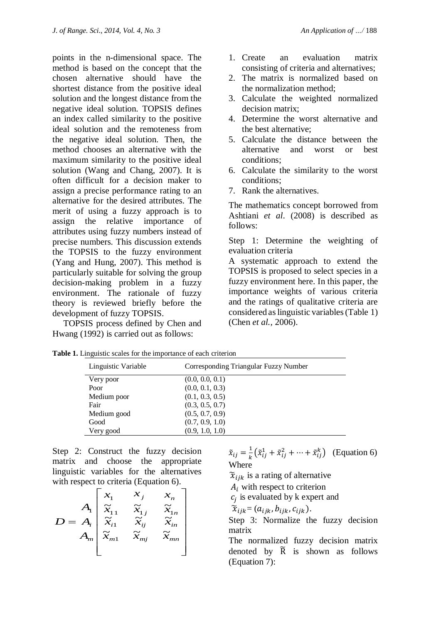points in the n-dimensional space. The method is based on the concept that the chosen alternative should have the shortest distance from the positive ideal solution and the longest distance from the negative ideal solution. TOPSIS defines an index called similarity to the positive ideal solution and the remoteness from the negative ideal solution. Then, the method chooses an alternative with the maximum similarity to the positive ideal solution (Wang and Chang, 2007). It is often difficult for a decision maker to assign a precise performance rating to an alternative for the desired attributes. The merit of using a fuzzy approach is to assign the relative importance of attributes using fuzzy numbers instead of precise numbers. This discussion extends the TOPSIS to the fuzzy environment (Yang and Hung, 2007). This method is particularly suitable for solving the group decision-making problem in a fuzzy environment. The rationale of fuzzy theory is reviewed briefly before the development of fuzzy TOPSIS.

 TOPSIS process defined by Chen and Hwang (1992) is carried out as follows:

- 1. Create an evaluation matrix consisting of criteria and alternatives;
- 2. The matrix is normalized based on the normalization method;
- 3. Calculate the weighted normalized decision matrix;
- 4. Determine the worst alternative and the best alternative;
- 5. Calculate the distance between the alternative and worst or best conditions;
- 6. Calculate the similarity to the worst conditions;
- 7. Rank the alternatives.

The mathematics concept borrowed from Ashtiani *et al*. (2008) is described as follows:

Step 1: Determine the weighting of evaluation criteria

A systematic approach to extend the TOPSIS is proposed to select species in a fuzzy environment here. In this paper, the importance weights of various criteria and the ratings of qualitative criteria are considered aslinguistic variables(Table 1) (Chen *et al.,* 2006).

| Linguistic Variable | Corresponding Triangular Fuzzy Number |
|---------------------|---------------------------------------|
| Very poor           | (0.0, 0.0, 0.1)                       |
| Poor                | (0.0, 0.1, 0.3)                       |
| Medium poor         | (0.1, 0.3, 0.5)                       |
| Fair                | (0.3, 0.5, 0.7)                       |
| Medium good         | (0.5, 0.7, 0.9)                       |
| Good                | (0.7, 0.9, 1.0)                       |
| Very good           | (0.9, 1.0, 1.0)                       |

**Table 1.** Linguistic scales for the importance of each criterion

Step 2: Construct the fuzzy decision matrix and choose the appropriate linguistic variables for the alternatives with respect to criteria (Equation 6).

$$
D = A_i \begin{bmatrix} x_1 & x_j & x_n \\ \tilde{x}_{11} & \tilde{x}_{1j} & \tilde{x}_{1n} \\ \tilde{x}_{i1} & \tilde{x}_{ij} & \tilde{x}_{in} \\ A_m \tilde{x}_{m1} & \tilde{x}_{mj} & \tilde{x}_{mn} \end{bmatrix}
$$

 $\tilde{x}_{ij}=\frac{1}{\nu}$  $\frac{1}{k}(\tilde{x}_{ij}^1 + \tilde{x}_{ij}^2 + \cdots + \tilde{x}_{ij}^k)$  (Equation 6) Where

 $\tilde{\chi}_{ijk}$  is a rating of alternative

 $A_i$  with respect to criterion

 $c_i$  is evaluated by k expert and

 $\widetilde{\chi}_{ijk}$  =  $(a_{ijk}, b_{ijk}, c_{ijk})$ .

Step 3: Normalize the fuzzy decision matrix

The normalized fuzzy decision matrix denoted by  $\widetilde{R}$  is shown as follows (Equation 7):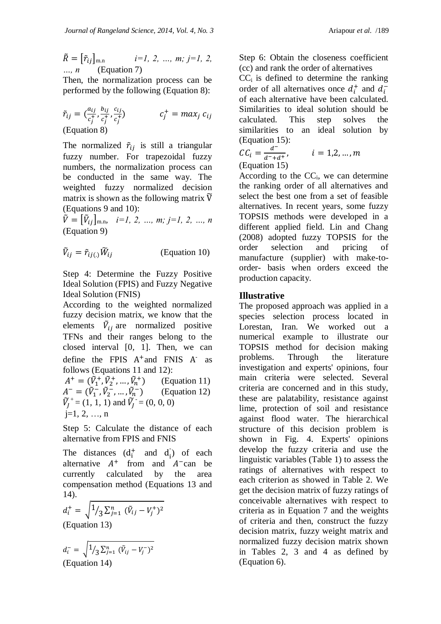$$
\tilde{R} = [\tilde{r}_{ij}]_{\text{m.n}} \quad i=1, 2, ..., m; j=1, 2, ...
$$
  
 
$$
n \quad (\text{Equation 7})
$$

Then, the normalization process can be performed by the following (Equation 8):

$$
\tilde{r}_{ij} = \left(\frac{a_{ij}}{c_j^+}, \frac{b_{ij}}{c_j^+}, \frac{c_{ij}}{c_j^+}\right) \qquad c_j^+ = \max_j c_{ij}
$$
\n(Equation 8)

The normalized  $\tilde{r}_{ij}$  is still a triangular fuzzy number. For trapezoidal fuzzy numbers, the normalization process can be conducted in the same way. The weighted fuzzy normalized decision matrix is shown as the following matrix  $\tilde{V}$ (Equations 9 and 10):

 $\tilde{V} = [\tilde{V}_{ij}]_{\text{m.n.}}$   $i=1, 2, ..., m; j=1, 2, ..., n$ (Equation 9)

$$
\tilde{V}_{ij} = \tilde{r}_{ij(.)}\tilde{W}_{ij}
$$
 (Equation 10)

Step 4: Determine the Fuzzy Positive Ideal Solution (FPIS) and Fuzzy Negative Ideal Solution (FNIS)

According to the weighted normalized fuzzy decision matrix*,* we know that the elements  $\tilde{V}_{ij}$  are normalized positive TFNs and their ranges belong to the closed interval [0*,* 1]. Then*,* we can define the FPIS  $A^+$  and FNIS  $A^-$  as follows (Equations 11 and 12):

 $A^+ = (\tilde{V}_1^+, \tilde{V}_2^+, ..., \tilde{V}_n^+)$  )(Equation 11)  $A^- = (\tilde{V}_1^- , \tilde{V}_2^- , \dots, \tilde{V}_n^- )$  )(Equation 12)  $\widetilde{V}_I^+$  = (1, 1, 1) and  $\widetilde{V}_I^-$  = (0, 0, 0) j=1*,* 2*,* …*,* n

Step 5: Calculate the distance of each alternative from FPIS and FNIS

The distances  $(d_i^+$  and  $d_i^-$ ) of each alternative  $A^+$  from and  $A^-$ can be currently calculated by the area compensation method (Equations 13 and 14).

$$
d_i^+ = \sqrt{1/3 \sum_{j=1}^n (\tilde{V}_{ij} - V_j^+)^2}
$$
  
(Equation 13)

$$
d_i^- = \sqrt{\frac{1}{3} \sum_{j=1}^n (\tilde{V}_{ij} - V_j^-)^2}
$$
  
(Equation 14)

Step 6: Obtain the closeness coefficient (cc) and rank the order of alternatives

 $CC<sub>i</sub>$  is defined to determine the ranking order of all alternatives once  $d_i^+$  and  $d_i^$ of each alternative have been calculated. Similarities to ideal solution should be calculated. This step solves the similarities to an ideal solution by (Equation 15):

$$
CCi = \frac{d^{2}}{d^{2} + d^{2}}, \qquad i = 1, 2, ..., m
$$
  
(Equation 15)

According to the  $CC_i$ , we can determine the ranking order of all alternatives and select the best one from a set of feasible alternatives. In recent years*,* some fuzzy TOPSIS methods were developed in a different applied field. Lin and Chang (2008) adopted fuzzy TOPSIS for the order selection and pricing of manufacture (supplier) with make-toorder- basis when orders exceed the production capacity.

#### **Illustrative**

The proposed approach was applied in a species selection process located in Lorestan, Iran. We worked out a numerical example to illustrate our TOPSIS method for decision making problems. Through the literature investigation and experts' opinions, four main criteria were selected. Several criteria are concerned and in this study, these are palatability, resistance against lime, protection of soil and resistance against flood water. The hierarchical structure of this decision problem is shown in Fig. 4. Experts' opinions develop the fuzzy criteria and use the linguistic variables (Table 1) to assess the ratings of alternatives with respect to each criterion as showed in Table 2. We get the decision matrix of fuzzy ratings of conceivable alternatives with respect to criteria as in Equation 7 and the weights of criteria and then, construct the fuzzy decision matrix, fuzzy weight matrix and normalized fuzzy decision matrix shown in Tables 2, 3 and 4 as defined by (Equation 6).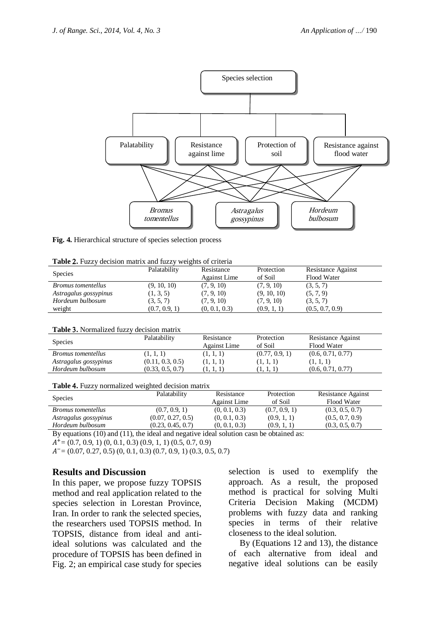

**Fig. 4.** Hierarchical structure of species selection process

| Table 2. Fuzzy decision matrix and fuzzy weights of criteria |  |  |  |  |  |  |  |
|--------------------------------------------------------------|--|--|--|--|--|--|--|
|--------------------------------------------------------------|--|--|--|--|--|--|--|

| <b>Species</b>            | Palatability  | Resistance<br>Against Lime | Protection<br>of Soil | <b>Resistance Against</b><br>Flood Water |
|---------------------------|---------------|----------------------------|-----------------------|------------------------------------------|
| <i>Bromus tomentellus</i> | (9, 10, 10)   | (7, 9, 10)                 | (7, 9, 10)            | (3, 5, 7)                                |
| Astragalus gossypinus     | (1, 3, 5)     | (7, 9, 10)                 | (9, 10, 10)           | (5, 7, 9)                                |
| Hordeum bulbosum          | (3, 5, 7)     | (7, 9, 10)                 | (7, 9, 10)            | (3, 5, 7)                                |
| weight                    | (0.7, 0.9, 1) | (0, 0.1, 0.3)              | (0.9, 1, 1)           | (0.5, 0.7, 0.9)                          |

|  | Table 3. Normalized fuzzy decision matrix |  |  |  |
|--|-------------------------------------------|--|--|--|
|--|-------------------------------------------|--|--|--|

| <b>Species</b>            | Palatability     | Resistance<br><b>Against Lime</b> | Protection<br>of Soil | <b>Resistance Against</b><br>Flood Water |  |
|---------------------------|------------------|-----------------------------------|-----------------------|------------------------------------------|--|
| <i>Bromus tomentellus</i> | (1, 1, 1)        | (1, 1, 1)                         | (0.77, 0.9, 1)        | (0.6, 0.71, 0.77)                        |  |
| Astragalus gossypinus     | (0.11, 0.3, 0.5) | (1, 1, 1)                         | (1, 1, 1)             | (1, 1, 1)                                |  |
| Hordeum bulbosum          | (0.33, 0.5, 0.7) |                                   | (1, 1, 1)             | (0.6, 0.71, 0.77)                        |  |
|                           |                  |                                   |                       |                                          |  |

| <b>Species</b>            | Palatability      | Resistance<br>Against Lime | Protection<br>of Soil | Resistance Against<br>Flood Water |
|---------------------------|-------------------|----------------------------|-----------------------|-----------------------------------|
| <i>Bromus tomentellus</i> | (0.7, 0.9, 1)     | (0, 0.1, 0.3)              | (0.7, 0.9, 1)         | (0.3, 0.5, 0.7)                   |
| Astragalus gossypinus     | (0.07, 0.27, 0.5) | (0, 0.1, 0.3)              | (0.9, 1, 1)           | (0.5, 0.7, 0.9)                   |
| Hordeum bulbosum          | (0.23, 0.45, 0.7) | (0, 0.1, 0.3)              | (0.9, 1, 1)           | (0.3, 0.5, 0.7)                   |
|                           |                   |                            |                       |                                   |

By equations (10) and (11), the ideal and negative ideal solution casn be obtained as:

= (0.7*,* 0.9*,* 1) (0*,* 0.1*,* 0.3) (0.9*,* 1*,* 1) (0.5*,* 0.7*,* 0.9)

= (0.07*,* 0.27*,* 0.5) (0*,* 0.1*,* 0.3) (0.7*,* 0.9*,* 1) (0.3*,* 0.5*,* 0.7)

#### **Results and Discussion**

In this paper, we propose fuzzy TOPSIS method and real application related to the species selection in Lorestan Province, Iran. In order to rank the selected species, the researchers used TOPSIS method. In TOPSIS, distance from ideal and antiideal solutions was calculated and the procedure of TOPSIS has been defined in Fig. 2; an empirical case study for species

selection is used to exemplify the approach. As a result, the proposed method is practical for solving Multi Criteria Decision Making (MCDM) problems with fuzzy data and ranking species in terms of their relative closeness to the ideal solution.

 By (Equations 12 and 13), the distance of each alternative from ideal and negative ideal solutions can be easily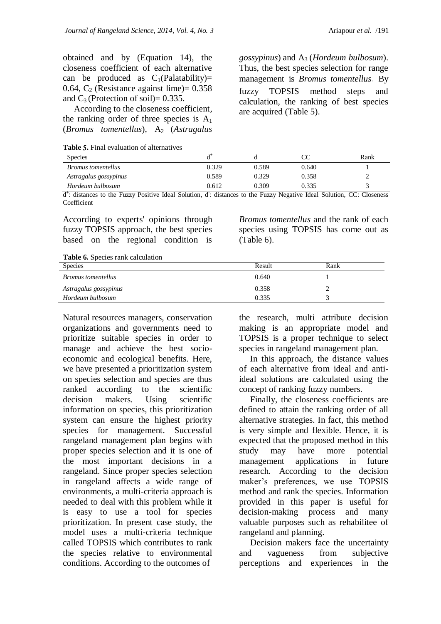obtained and by (Equation 14), the closeness coefficient of each alternative can be produced as  $C_1(Palatability)$ = 0.64,  $C_2$  (Resistance against lime) = 0.358 and  $C_3$  (Protection of soil)= 0.335.

 According to the closeness coefficient*,*  the ranking order of three species is  $A_1$ (*Bromus tomentellus*), A<sub>2</sub> (*Astragalus* 

**Table .** Final evaluation of alternatives

*gossypinus*) and A3 (*Hordeum bulbosum*). Thus, the best species selection for range management is *Bromus tomentellus*. By fuzzy TOPSIS method steps and calculation*,* the ranking of best species are acquired (Table 5).

| <b>Species</b>            |       |       |       | Rank |
|---------------------------|-------|-------|-------|------|
| <i>Bromus tomentellus</i> | 0.329 | 0.589 | 0.640 |      |
| Astragalus gossypinus     | 0.589 | 0.329 | 0.358 |      |
| Hordeum bulbosum          | 0.612 | 0.309 | 0.335 |      |

d + : distances to the Fuzzy Positive Ideal Solution*,* d - : distances to the Fuzzy Negative Ideal Solution*,* CC: Closeness Coefficient

According to experts' opinions through fuzzy TOPSIS approach*,* the best species based on the regional condition is *Bromus tomentellus* and the rank of each species using TOPSIS has come out as (Table 6).

**Table 6.** Species rank calculation

| Species                   | Result | Rank |
|---------------------------|--------|------|
| <i>Bromus tomentellus</i> | 0.640  |      |
| Astragalus gossypinus     | 0.358  |      |
| Hordeum bulbosum          | 0.335  |      |
|                           |        |      |

Natural resources managers, conservation organizations and governments need to prioritize suitable species in order to manage and achieve the best socioeconomic and ecological benefits. Here, we have presented a prioritization system on species selection and species are thus ranked according to the scientific decision makers. Using scientific information on species, this prioritization system can ensure the highest priority species for management. Successful rangeland management plan begins with proper species selection and it is one of the most important decisions in a rangeland. Since proper species selection in rangeland affects a wide range of environments, a multi-criteria approach is needed to deal with this problem while it is easy to use a tool for species prioritization. In present case study, the model uses a multi-criteria technique called TOPSIS which contributes to rank the species relative to environmental conditions. According to the outcomes of

the research, multi attribute decision making is an appropriate model and TOPSIS is a proper technique to select species in rangeland management plan.

 In this approach, the distance values of each alternative from ideal and antiideal solutions are calculated using the concept of ranking fuzzy numbers.

 Finally, the closeness coefficients are defined to attain the ranking order of all alternative strategies. In fact, this method is very simple and flexible. Hence, it is expected that the proposed method in this study may have more potential management applications in future research. According to the decision maker's preferences, we use TOPSIS method and rank the species. Information provided in this paper is useful for decision-making process and many valuable purposes such as rehabilitee of rangeland and planning.

 Decision makers face the uncertainty and vagueness from subjective perceptions and experiences in the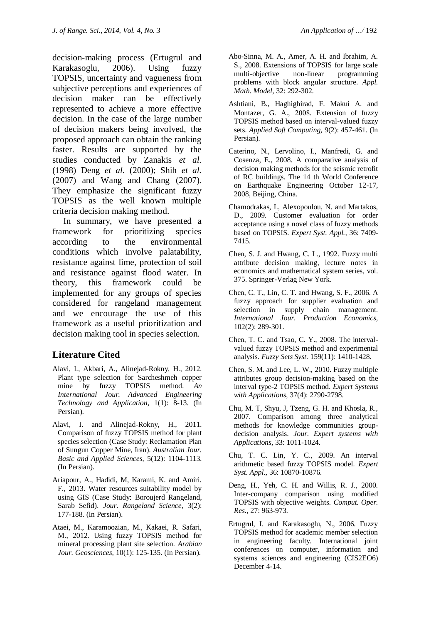decision-making process (Ertugrul and Karakasoglu, 2006). Using fuzzy TOPSIS, uncertainty and vagueness from subjective perceptions and experiences of decision maker can be effectively represented to achieve a more effective decision. In the case of the large number of decision makers being involved, the proposed approach can obtain the ranking faster. Results are supported by the studies conducted by Zanakis *et al.*  (1998) Deng *et al.* (2000); Shih *et al.*  (2007) and Wang and Chang (2007). They emphasize the significant fuzzy TOPSIS as the well known multiple criteria decision making method.

 In summary, we have presented a framework for prioritizing species according to the environmental conditions which involve palatability, resistance against lime, protection of soil and resistance against flood water. In theory, this framework could be implemented for any groups of species considered for rangeland management and we encourage the use of this framework as a useful prioritization and decision making tool in species selection.

# **Literature Cited**

- Alavi, I., Akbari, A., Alinejad-Rokny, H., 2012. Plant type selection for Sarcheshmeh copper mine by fuzzy TOPSIS method. *An International Jour. Advanced Engineering Technology and Application,* 1(1): 8-13. (In Persian).
- Alavi, I. and Alinejad-Rokny, H., 2011. Comparison of fuzzy TOPSIS method for plant species selection (Case Study: Reclamation Plan of Sungun Copper Mine, Iran). *Australian Jour. Basic and Applied Sciences,* 5(12): 1104-1113. (In Persian).
- Ariapour, A., Hadidi, M, Karami, K. and Amiri. F., 2013. Water resources suitability model by using GIS (Case Study: Boroujerd Rangeland*,*  Sarab Sefid). *Jour. Rangeland Science,* 3(2): 177-188. (In Persian).
- Ataei, M., Karamoozian, M., Kakaei, R. Safari, M., 2012. Using fuzzy TOPSIS method for mineral processing plant site selection. *Arabian Jour. Geosciences,* 10(1): 125-135. (In Persian).
- Abo-Sinna, M. A., Amer, A. H. and Ibrahim, A. S., 2008. Extensions of TOPSIS for large scale multi-objective non-linear programming problems with block angular structure. *Appl. Math. Model,* 32: 292-302.
- Ashtiani, B., Haghighirad, F. Makui A. and Montazer, G. A., 2008. Extension of fuzzy TOPSIS method based on interval-valued fuzzy sets. *Applied Soft Computing,* 9(2): 457-461. (In Persian).
- Caterino, N., Lervolino, I., Manfredi, G. and Cosenza, E., 2008. A comparative analysis of decision making methods for the seismic retrofit of RC buildings. The 14 th World Conference on Earthquake Engineering October 12-17*,*  2008*,* Beijing*,* China.
- Chamodrakas, I., Alexopoulou, N. and Martakos, D., 2009. Customer evaluation for order acceptance using a novel class of fuzzy methods based on TOPSIS. *Expert Syst. Appl.,* 36: 7409- 7415.
- Chen, S. J. and Hwang, C. L., 1992. Fuzzy multi attribute decision making*,* lecture notes in economics and mathematical system series*,* vol. 375. Springer-Verlag New York.
- Chen, C. T., Lin, C. T. and Hwang, S. F., 2006. A fuzzy approach for supplier evaluation and selection in supply chain management. *International Jour. Production Economics,*  102(2): 289-301.
- Chen, T. C. and Tsao, C. Y., 2008. The intervalvalued fuzzy TOPSIS method and experimental analysis*. Fuzzy Sets Syst.* 159(11): 1410-1428.
- Chen, S. M. and Lee, L. W., 2010. Fuzzy multiple attributes group decision-making based on the interval type-2 TOPSIS method. *Expert Systems with Applications,* 37(4): 2790-2798.
- Chu, M. T, Shyu, J, Tzeng, G. H. and Khosla, R., 2007. Comparison among three analytical methods for knowledge communities groupdecision analysis. *Jour. Expert systems with Applications,* 33: 1011-1024.
- Chu, T. C. Lin, Y. C., 2009. An interval arithmetic based fuzzy TOPSIS model*. Expert Syst. Appl.*, 36: 10870-10876.
- Deng, H., Yeh, C. H. and Willis, R. J., 2000. Inter-company comparison using modified TOPSIS with objective weights*. Comput. Oper. Res.,* 27: 963-973.
- Ertugrul, I. and Karakasoglu, N., 2006. Fuzzy TOPSIS method for academic member selection in engineering faculty. International joint conferences on computer*,* information and systems sciences and engineering (CIS2EO6) December 4-14.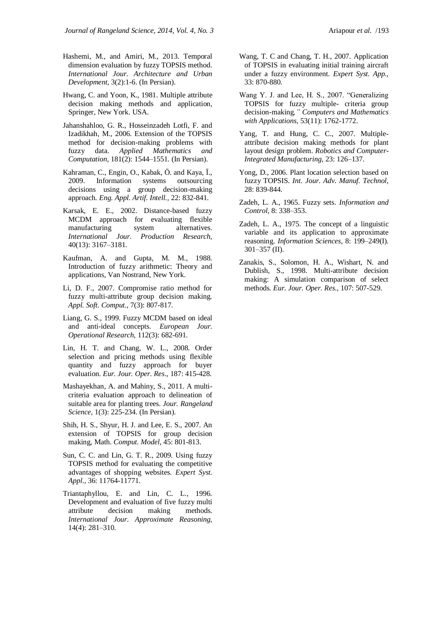- Hashemi, M., and Amiri, M., 2013. Temporal dimension evaluation by fuzzy TOPSIS method. *International Jour. Architecture and Urban Development*, 3(2):1-6. (In Persian).
- Hwang, C. and Yoon, K., 1981. Multiple attribute decision making methods and application*,*  Springer*,* New York. USA.
- Jahanshahloo, G. R., Hosseinzadeh Lotfi, F. and Izadikhah, M., 2006. Extension of the TOPSIS method for decision-making problems with fuzzy data. *Applied Mathematics and Computation,* 181(2): 1544–1551. (In Persian).
- Kahraman, C., Engin, O., Kabak, Ö. and Kaya, Ï., 2009. Information systems outsourcing decisions using a group decision-making approach*. Eng. Appl. Artif. Intell.,* 22: 832-841.
- Karsak, E. E., 2002. Distance-based fuzzy MCDM approach for evaluating flexible manufacturing system alternatives. *International Jour. Production Research,*  40(13): 3167–3181.
- Kaufman, A. and Gupta, M. M., 1988. Introduction of fuzzy arithmetic: Theory and applications*,* Van Nostrand*,* New York.
- Li, D. F., 2007. Compromise ratio method for fuzzy multi-attribute group decision making*. Appl. Soft. Comput.*, 7(3): 807-817.
- Liang, G. S., 1999. Fuzzy MCDM based on ideal and anti-ideal concepts. *European Jour. Operational Research,* 112(3): 682-691.
- Lin, H. T. and Chang, W. L., 2008. Order selection and pricing methods using flexible quantity and fuzzy approach for buyer evaluation. *Eur. Jour. Oper. Res*., 187: 415-428.
- Mashayekhan, A. and Mahiny, S., 2011. A multicriteria evaluation approach to delineation of suitable area for planting trees. *Jour. Rangeland Science,* 1(3): 225-234. (In Persian).
- Shih, H. S., Shyur, H. J. and Lee, E. S., 2007. An extension of TOPSIS for group decision making*,* Math. *Comput. Model*, 45: 801-813.
- Sun, C. C. and Lin, G. T. R., 2009. Using fuzzy TOPSIS method for evaluating the competitive advantages of shopping websites*. Expert Syst. Appl*., 36: 11764-11771.
- Triantaphyllou, E. and Lin, C. L., 1996. Development and evaluation of five fuzzy multi attribute decision making methods. *International Jour. Approximate Reasoning,*  14(4): 281–310.
- Wang, T. C and Chang, T. H., 2007. Application of TOPSIS in evaluating initial training aircraft under a fuzzy environment*. Expert Syst. App.,* 33: 870-880.
- Wang Y. J. and Lee, H. S., 2007. "Generalizing TOPSIS for fuzzy multiple- criteria group decision-making*," Computers and Mathematics with Applications,* 53(11): 1762-1772.
- Yang, T. and Hung, C. C., 2007. Multipleattribute decision making methods for plant layout design problem. *Robotics and Computer-Integrated Manufacturing,* 23: 126–137.
- Yong, D., 2006. Plant location selection based on fuzzy TOPSIS*. Int. Jour. Adv. Manuf. Technol*, 28: 839-844.
- Zadeh, L. A., 1965. Fuzzy sets. *Information and Control,* 8: 338–353.
- Zadeh, L. A., 1975. The concept of a linguistic variable and its application to approximate reasoning. *Information Sciences,* 8: 199–249(I). 301–357 (II).
- Zanakis, S., Solomon, H. A., Wishart, N. and Dublish, S., 1998. Multi-attribute decision making: A simulation comparison of select methods*. Eur. Jour. Oper. Res.,* 107: 507-529.